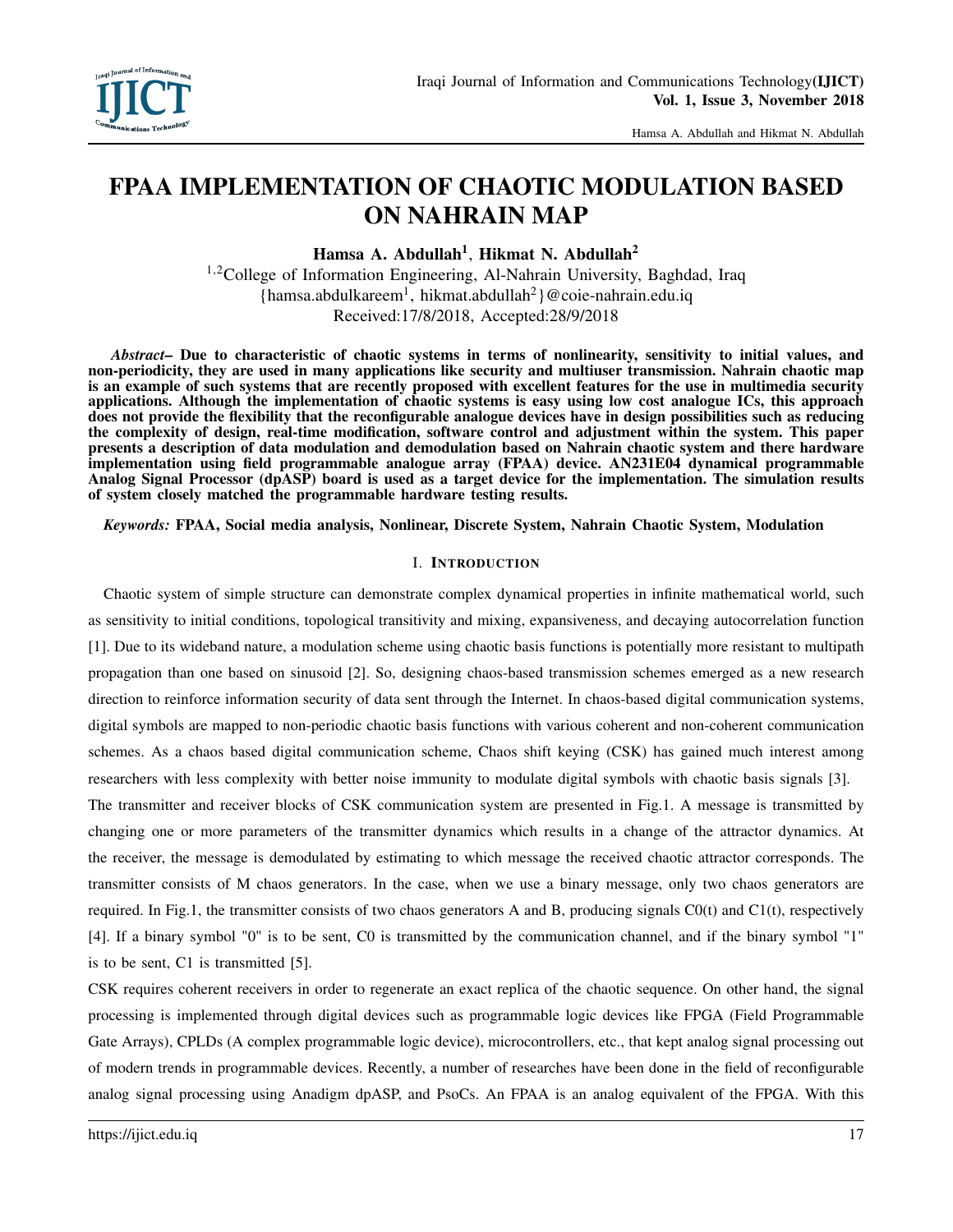# FPAA IMPLEMENTATION OF CHAOTIC MODULATION BASED ON NAHRAIN MAP

Hamsa A. Abdullah<sup>1</sup>, Hikmat N. Abdullah<sup>2</sup>

<sup>1,2</sup>College of Information Engineering, Al-Nahrain University, Baghdad, Iraq {hamsa.abdulkareem<sup>1</sup> , hikmat.abdullah<sup>2</sup> }@coie-nahrain.edu.iq Received:17/8/2018, Accepted:28/9/2018

*Abstract*– Due to characteristic of chaotic systems in terms of nonlinearity, sensitivity to initial values, and non-periodicity, they are used in many applications like security and multiuser transmission. Nahrain chaotic map is an example of such systems that are recently proposed with excellent features for the use in multimedia security applications. Although the implementation of chaotic systems is easy using low cost analogue ICs, this approach does not provide the flexibility that the reconfigurable analogue devices have in design possibilities such as reducing the complexity of design, real-time modification, software control and adjustment within the system. This paper presents a description of data modulation and demodulation based on Nahrain chaotic system and there hardware implementation using field programmable analogue array (FPAA) device. AN231E04 dynamical programmable Analog Signal Processor (dpASP) board is used as a target device for the implementation. The simulation results of system closely matched the programmable hardware testing results.

*Keywords:* FPAA, Social media analysis, Nonlinear, Discrete System, Nahrain Chaotic System, Modulation

## I. INTRODUCTION

Chaotic system of simple structure can demonstrate complex dynamical properties in infinite mathematical world, such as sensitivity to initial conditions, topological transitivity and mixing, expansiveness, and decaying autocorrelation function [1]. Due to its wideband nature, a modulation scheme using chaotic basis functions is potentially more resistant to multipath propagation than one based on sinusoid [2]. So, designing chaos-based transmission schemes emerged as a new research direction to reinforce information security of data sent through the Internet. In chaos-based digital communication systems, digital symbols are mapped to non-periodic chaotic basis functions with various coherent and non-coherent communication schemes. As a chaos based digital communication scheme, Chaos shift keying (CSK) has gained much interest among researchers with less complexity with better noise immunity to modulate digital symbols with chaotic basis signals [3].

The transmitter and receiver blocks of CSK communication system are presented in Fig.1. A message is transmitted by changing one or more parameters of the transmitter dynamics which results in a change of the attractor dynamics. At the receiver, the message is demodulated by estimating to which message the received chaotic attractor corresponds. The transmitter consists of M chaos generators. In the case, when we use a binary message, only two chaos generators are required. In Fig.1, the transmitter consists of two chaos generators A and B, producing signals  $C0(t)$  and  $C1(t)$ , respectively [4]. If a binary symbol "0" is to be sent, C0 is transmitted by the communication channel, and if the binary symbol "1" is to be sent, C1 is transmitted [5].

CSK requires coherent receivers in order to regenerate an exact replica of the chaotic sequence. On other hand, the signal processing is implemented through digital devices such as programmable logic devices like FPGA (Field Programmable Gate Arrays), CPLDs (A complex programmable logic device), microcontrollers, etc., that kept analog signal processing out of modern trends in programmable devices. Recently, a number of researches have been done in the field of reconfigurable analog signal processing using Anadigm dpASP, and PsoCs. An FPAA is an analog equivalent of the FPGA. With this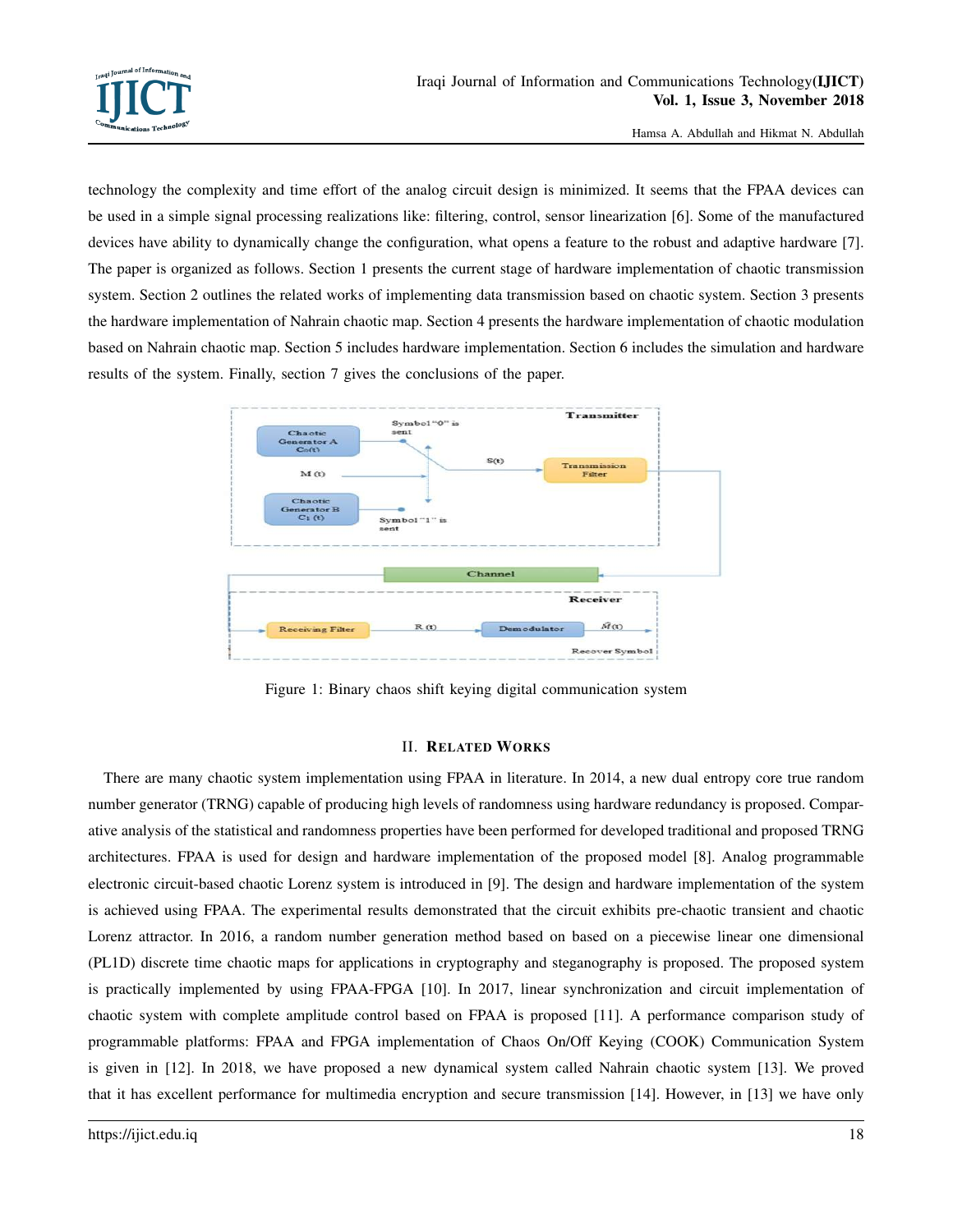

technology the complexity and time effort of the analog circuit design is minimized. It seems that the FPAA devices can be used in a simple signal processing realizations like: filtering, control, sensor linearization [6]. Some of the manufactured devices have ability to dynamically change the configuration, what opens a feature to the robust and adaptive hardware [7]. The paper is organized as follows. Section 1 presents the current stage of hardware implementation of chaotic transmission system. Section 2 outlines the related works of implementing data transmission based on chaotic system. Section 3 presents the hardware implementation of Nahrain chaotic map. Section 4 presents the hardware implementation of chaotic modulation based on Nahrain chaotic map. Section 5 includes hardware implementation. Section 6 includes the simulation and hardware results of the system. Finally, section 7 gives the conclusions of the paper.



Figure 1: Binary chaos shift keying digital communication system

# II. RELATED WORKS

There are many chaotic system implementation using FPAA in literature. In 2014, a new dual entropy core true random number generator (TRNG) capable of producing high levels of randomness using hardware redundancy is proposed. Comparative analysis of the statistical and randomness properties have been performed for developed traditional and proposed TRNG architectures. FPAA is used for design and hardware implementation of the proposed model [8]. Analog programmable electronic circuit-based chaotic Lorenz system is introduced in [9]. The design and hardware implementation of the system is achieved using FPAA. The experimental results demonstrated that the circuit exhibits pre-chaotic transient and chaotic Lorenz attractor. In 2016, a random number generation method based on based on a piecewise linear one dimensional (PL1D) discrete time chaotic maps for applications in cryptography and steganography is proposed. The proposed system is practically implemented by using FPAA-FPGA [10]. In 2017, linear synchronization and circuit implementation of chaotic system with complete amplitude control based on FPAA is proposed [11]. A performance comparison study of programmable platforms: FPAA and FPGA implementation of Chaos On/Off Keying (COOK) Communication System is given in [12]. In 2018, we have proposed a new dynamical system called Nahrain chaotic system [13]. We proved that it has excellent performance for multimedia encryption and secure transmission [14]. However, in [13] we have only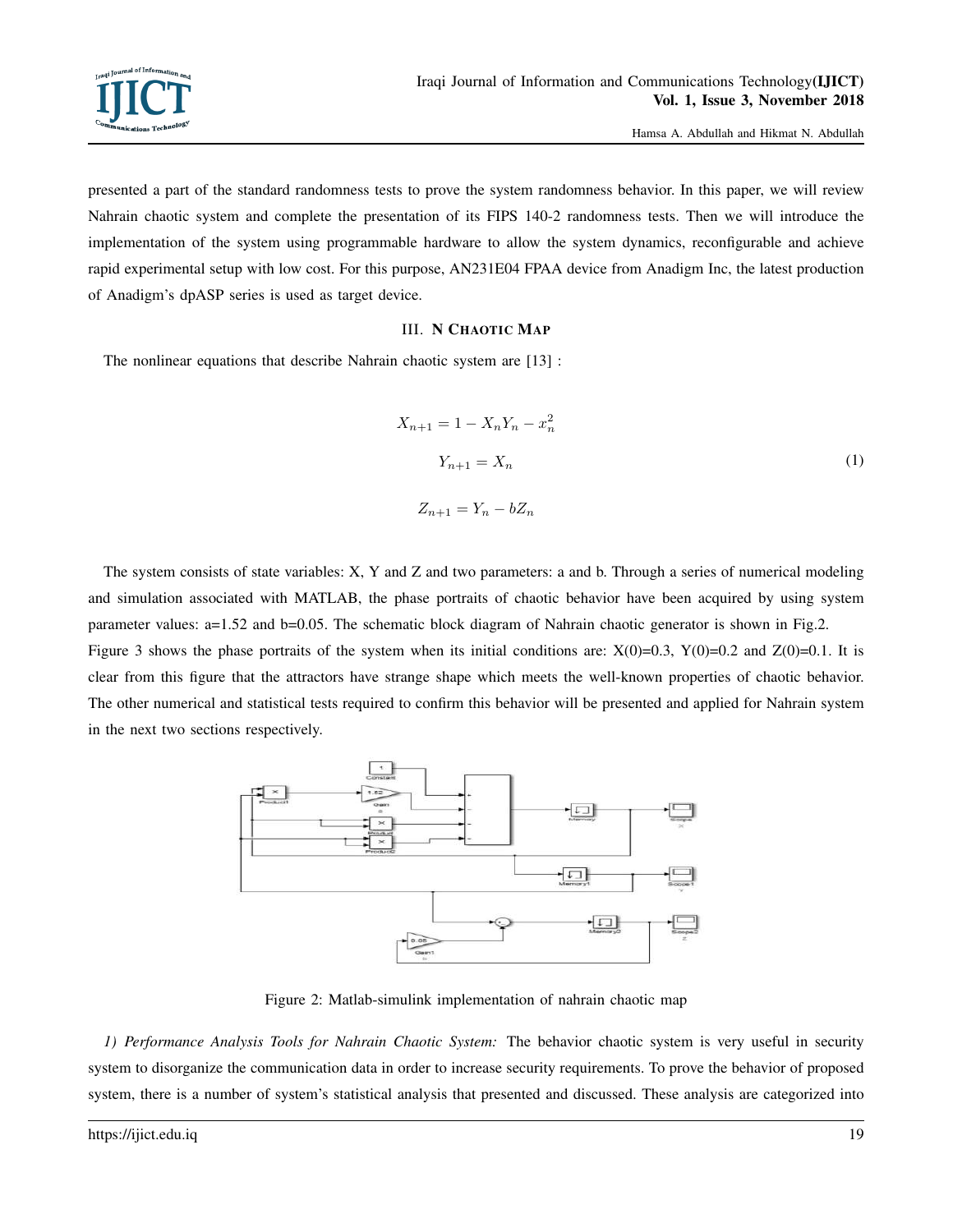

presented a part of the standard randomness tests to prove the system randomness behavior. In this paper, we will review Nahrain chaotic system and complete the presentation of its FIPS 140-2 randomness tests. Then we will introduce the implementation of the system using programmable hardware to allow the system dynamics, reconfigurable and achieve rapid experimental setup with low cost. For this purpose, AN231E04 FPAA device from Anadigm Inc, the latest production of Anadigm's dpASP series is used as target device.

## III. N CHAOTIC MAP

The nonlinear equations that describe Nahrain chaotic system are [13] :

$$
X_{n+1} = 1 - X_n Y_n - x_n^2
$$
  
\n
$$
Y_{n+1} = X_n
$$
  
\n
$$
Z_{n+1} = Y_n - bZ_n
$$
\n(1)

The system consists of state variables: X, Y and Z and two parameters: a and b. Through a series of numerical modeling and simulation associated with MATLAB, the phase portraits of chaotic behavior have been acquired by using system parameter values: a=1.52 and b=0.05. The schematic block diagram of Nahrain chaotic generator is shown in Fig.2. Figure 3 shows the phase portraits of the system when its initial conditions are:  $X(0)=0.3$ ,  $Y(0)=0.2$  and  $Z(0)=0.1$ . It is clear from this figure that the attractors have strange shape which meets the well-known properties of chaotic behavior. The other numerical and statistical tests required to confirm this behavior will be presented and applied for Nahrain system in the next two sections respectively.



Figure 2: Matlab-simulink implementation of nahrain chaotic map

*1) Performance Analysis Tools for Nahrain Chaotic System:* The behavior chaotic system is very useful in security system to disorganize the communication data in order to increase security requirements. To prove the behavior of proposed system, there is a number of system's statistical analysis that presented and discussed. These analysis are categorized into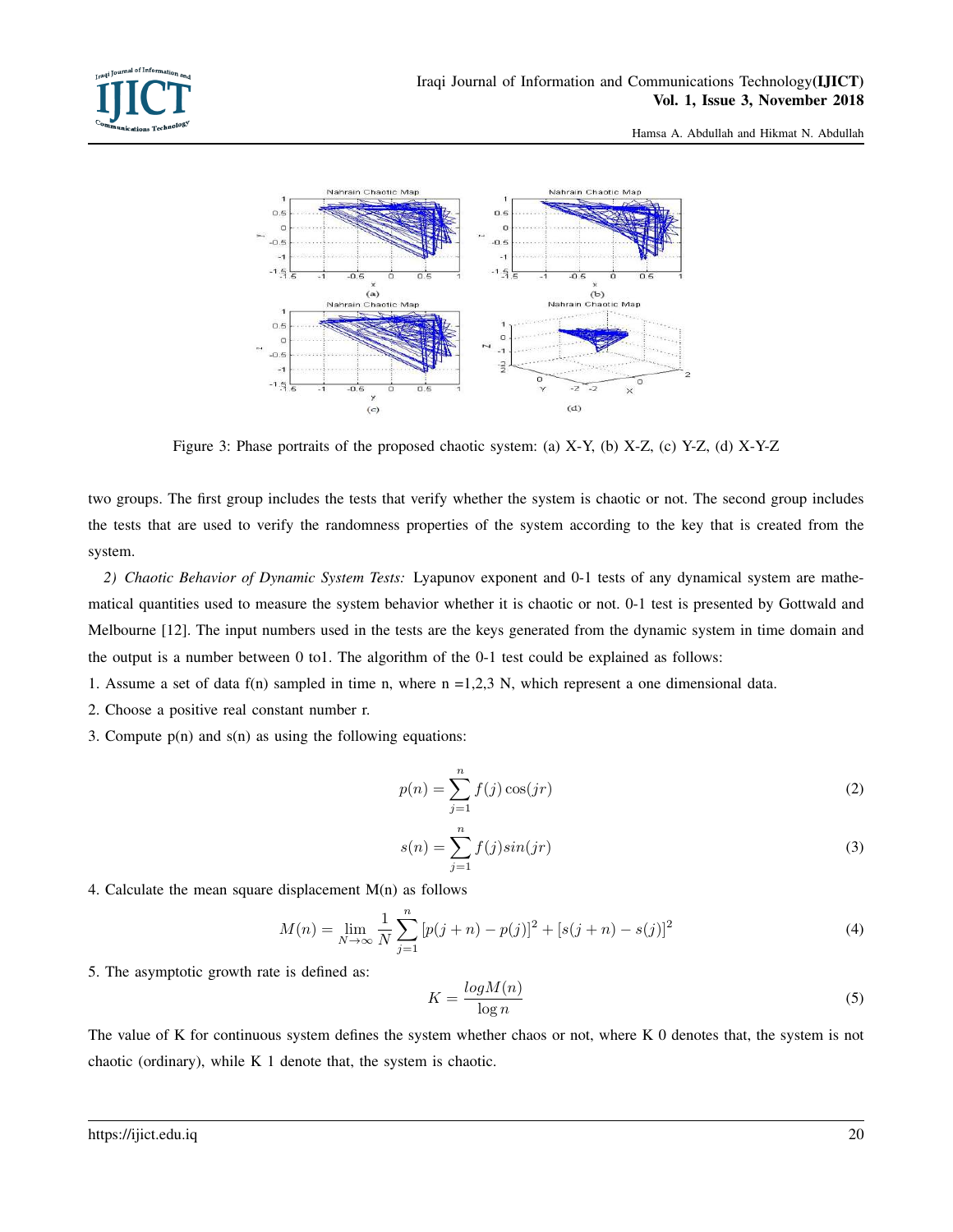



Figure 3: Phase portraits of the proposed chaotic system: (a) X-Y, (b) X-Z, (c) Y-Z, (d) X-Y-Z

two groups. The first group includes the tests that verify whether the system is chaotic or not. The second group includes the tests that are used to verify the randomness properties of the system according to the key that is created from the system.

*2) Chaotic Behavior of Dynamic System Tests:* Lyapunov exponent and 0-1 tests of any dynamical system are mathematical quantities used to measure the system behavior whether it is chaotic or not. 0-1 test is presented by Gottwald and Melbourne [12]. The input numbers used in the tests are the keys generated from the dynamic system in time domain and the output is a number between 0 to1. The algorithm of the 0-1 test could be explained as follows:

1. Assume a set of data f(n) sampled in time n, where  $n = 1,2,3$  N, which represent a one dimensional data.

- 2. Choose a positive real constant number r.
- 3. Compute  $p(n)$  and  $s(n)$  as using the following equations:

$$
p(n) = \sum_{j=1}^{n} f(j) \cos(jr)
$$
 (2)

$$
s(n) = \sum_{j=1}^{n} f(j)sin(jr)
$$
 (3)

4. Calculate the mean square displacement  $M(n)$  as follows

$$
M(n) = \lim_{N \to \infty} \frac{1}{N} \sum_{j=1}^{n} \left[ p(j+n) - p(j) \right]^2 + \left[ s(j+n) - s(j) \right]^2 \tag{4}
$$

5. The asymptotic growth rate is defined as:

$$
K = \frac{\log M(n)}{\log n} \tag{5}
$$

The value of K for continuous system defines the system whether chaos or not, where K 0 denotes that, the system is not chaotic (ordinary), while K 1 denote that, the system is chaotic.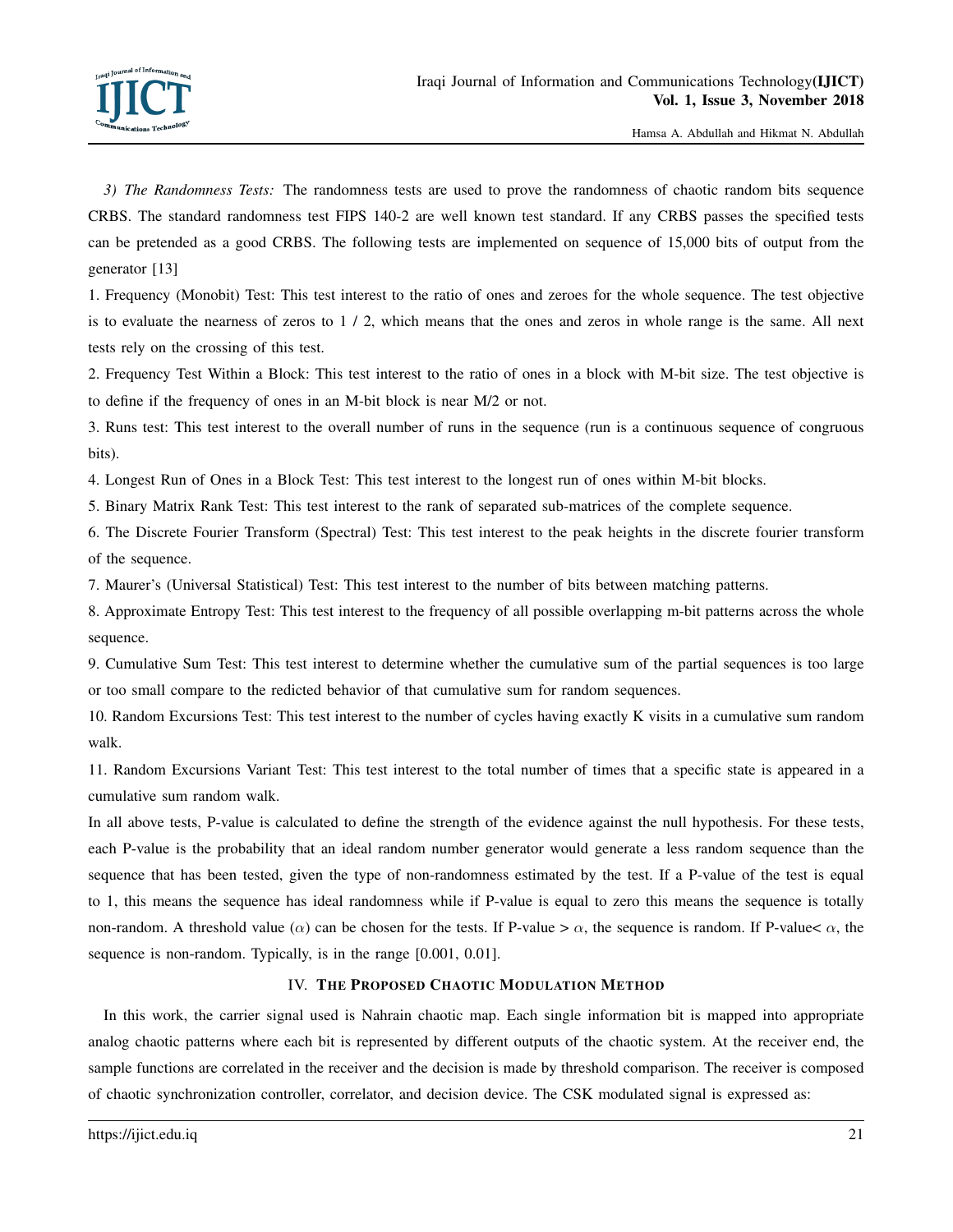*3) The Randomness Tests:* The randomness tests are used to prove the randomness of chaotic random bits sequence CRBS. The standard randomness test FIPS 140-2 are well known test standard. If any CRBS passes the specified tests can be pretended as a good CRBS. The following tests are implemented on sequence of 15,000 bits of output from the generator [13]

1. Frequency (Monobit) Test: This test interest to the ratio of ones and zeroes for the whole sequence. The test objective is to evaluate the nearness of zeros to 1 / 2, which means that the ones and zeros in whole range is the same. All next tests rely on the crossing of this test.

2. Frequency Test Within a Block: This test interest to the ratio of ones in a block with M-bit size. The test objective is to define if the frequency of ones in an M-bit block is near M/2 or not.

3. Runs test: This test interest to the overall number of runs in the sequence (run is a continuous sequence of congruous bits).

4. Longest Run of Ones in a Block Test: This test interest to the longest run of ones within M-bit blocks.

5. Binary Matrix Rank Test: This test interest to the rank of separated sub-matrices of the complete sequence.

6. The Discrete Fourier Transform (Spectral) Test: This test interest to the peak heights in the discrete fourier transform of the sequence.

7. Maurer's (Universal Statistical) Test: This test interest to the number of bits between matching patterns.

8. Approximate Entropy Test: This test interest to the frequency of all possible overlapping m-bit patterns across the whole sequence.

9. Cumulative Sum Test: This test interest to determine whether the cumulative sum of the partial sequences is too large or too small compare to the redicted behavior of that cumulative sum for random sequences.

10. Random Excursions Test: This test interest to the number of cycles having exactly K visits in a cumulative sum random walk.

11. Random Excursions Variant Test: This test interest to the total number of times that a specific state is appeared in a cumulative sum random walk.

In all above tests, P-value is calculated to define the strength of the evidence against the null hypothesis. For these tests, each P-value is the probability that an ideal random number generator would generate a less random sequence than the sequence that has been tested, given the type of non-randomness estimated by the test. If a P-value of the test is equal to 1, this means the sequence has ideal randomness while if P-value is equal to zero this means the sequence is totally non-random. A threshold value ( $\alpha$ ) can be chosen for the tests. If P-value >  $\alpha$ , the sequence is random. If P-value  $\alpha$ , the sequence is non-random. Typically, is in the range [0.001, 0.01].

# IV. THE PROPOSED CHAOTIC MODULATION METHOD

In this work, the carrier signal used is Nahrain chaotic map. Each single information bit is mapped into appropriate analog chaotic patterns where each bit is represented by different outputs of the chaotic system. At the receiver end, the sample functions are correlated in the receiver and the decision is made by threshold comparison. The receiver is composed of chaotic synchronization controller, correlator, and decision device. The CSK modulated signal is expressed as: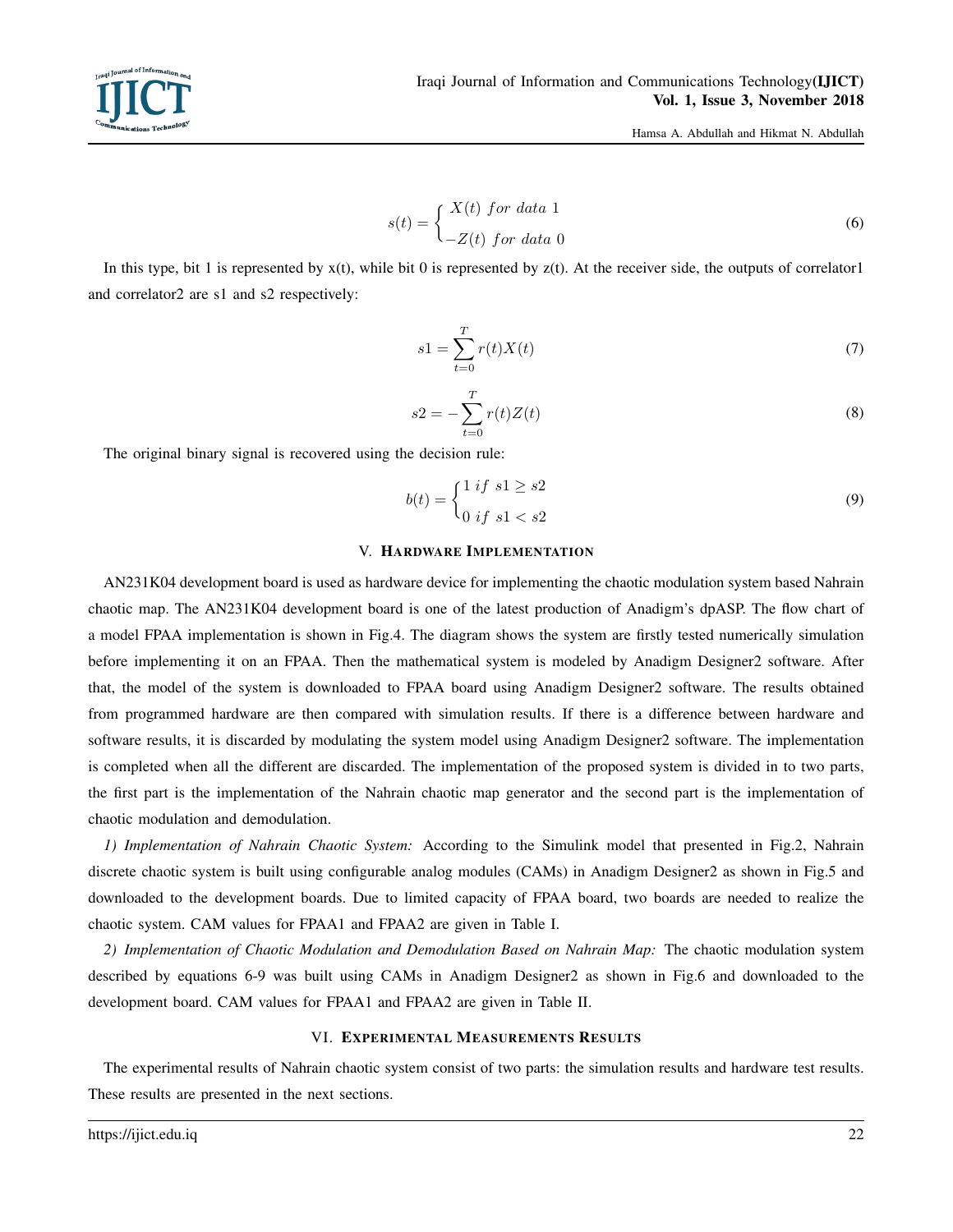$$
s(t) = \begin{cases} X(t) \text{ for data 1} \\ -Z(t) \text{ for data 0} \end{cases}
$$
 (6)

In this type, bit 1 is represented by  $x(t)$ , while bit 0 is represented by  $z(t)$ . At the receiver side, the outputs of correlator1 and correlator2 are s1 and s2 respectively:

$$
s1 = \sum_{t=0}^{T} r(t)X(t) \tag{7}
$$

$$
s2 = -\sum_{t=0}^{T} r(t)Z(t)
$$
 (8)

The original binary signal is recovered using the decision rule:

$$
b(t) = \begin{cases} 1 & \text{if } s1 \ge s2 \\ 0 & \text{if } s1 < s2 \end{cases} \tag{9}
$$

#### V. HARDWARE IMPLEMENTATION

AN231K04 development board is used as hardware device for implementing the chaotic modulation system based Nahrain chaotic map. The AN231K04 development board is one of the latest production of Anadigm's dpASP. The flow chart of a model FPAA implementation is shown in Fig.4. The diagram shows the system are firstly tested numerically simulation before implementing it on an FPAA. Then the mathematical system is modeled by Anadigm Designer2 software. After that, the model of the system is downloaded to FPAA board using Anadigm Designer2 software. The results obtained from programmed hardware are then compared with simulation results. If there is a difference between hardware and software results, it is discarded by modulating the system model using Anadigm Designer2 software. The implementation is completed when all the different are discarded. The implementation of the proposed system is divided in to two parts, the first part is the implementation of the Nahrain chaotic map generator and the second part is the implementation of chaotic modulation and demodulation.

*1) Implementation of Nahrain Chaotic System:* According to the Simulink model that presented in Fig.2, Nahrain discrete chaotic system is built using configurable analog modules (CAMs) in Anadigm Designer2 as shown in Fig.5 and downloaded to the development boards. Due to limited capacity of FPAA board, two boards are needed to realize the chaotic system. CAM values for FPAA1 and FPAA2 are given in Table I.

*2) Implementation of Chaotic Modulation and Demodulation Based on Nahrain Map:* The chaotic modulation system described by equations 6-9 was built using CAMs in Anadigm Designer2 as shown in Fig.6 and downloaded to the development board. CAM values for FPAA1 and FPAA2 are given in Table II.

#### VI. EXPERIMENTAL MEASUREMENTS RESULTS

The experimental results of Nahrain chaotic system consist of two parts: the simulation results and hardware test results. These results are presented in the next sections.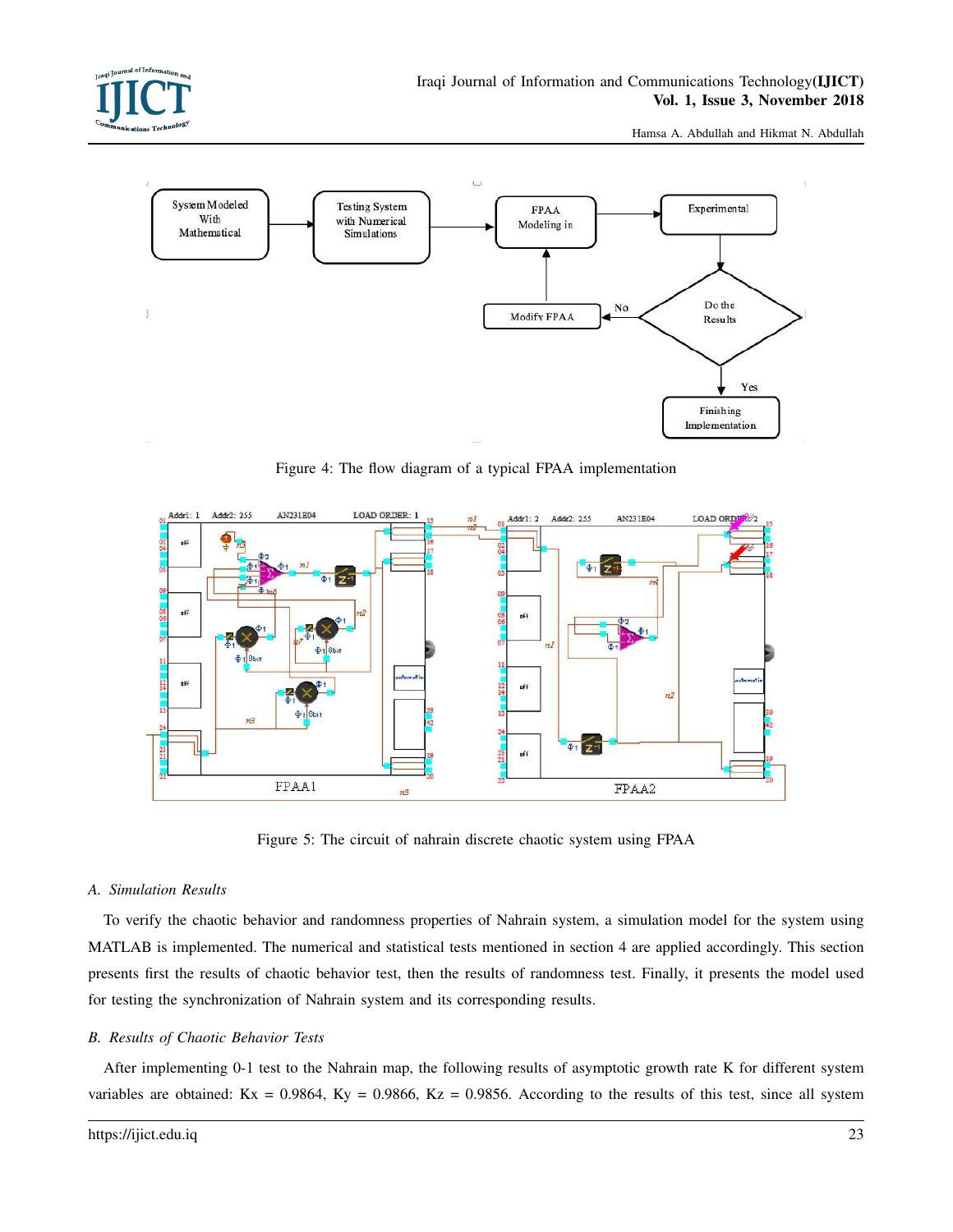



Figure 4: The flow diagram of a typical FPAA implementation



Figure 5: The circuit of nahrain discrete chaotic system using FPAA

#### *A. Simulation Results*

To verify the chaotic behavior and randomness properties of Nahrain system, a simulation model for the system using MATLAB is implemented. The numerical and statistical tests mentioned in section 4 are applied accordingly. This section presents first the results of chaotic behavior test, then the results of randomness test. Finally, it presents the model used for testing the synchronization of Nahrain system and its corresponding results.

#### *B. Results of Chaotic Behavior Tests*

After implementing 0-1 test to the Nahrain map, the following results of asymptotic growth rate K for different system variables are obtained:  $Kx = 0.9864$ ,  $Ky = 0.9866$ ,  $Kz = 0.9856$ . According to the results of this test, since all system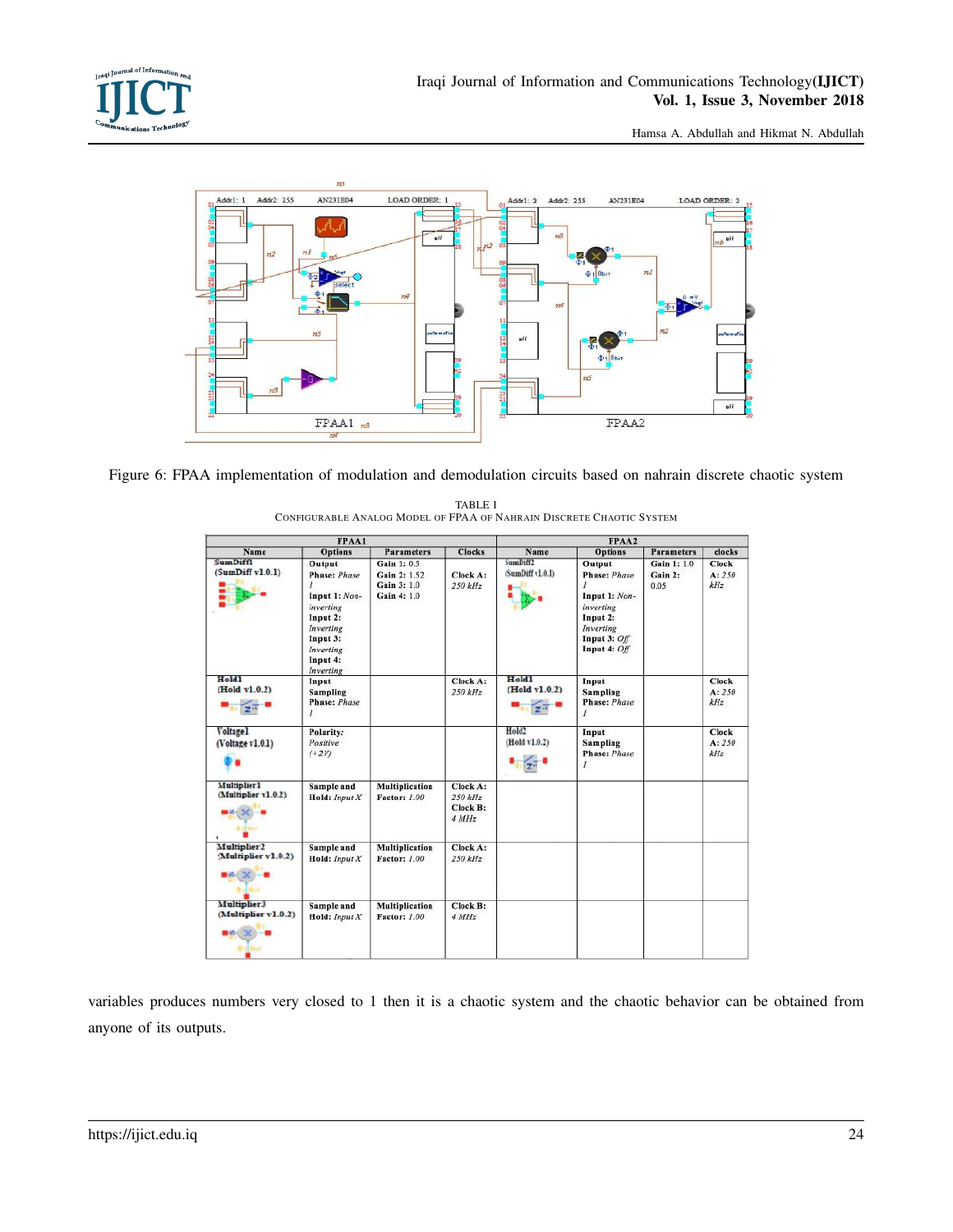



Figure 6: FPAA implementation of modulation and demodulation circuits based on nahrain discrete chaotic system

| FPAA1                                                                          |                                                                                                                                      |                                                          |                                          | FPAA2                              |                                                                                                                        |                                |                               |
|--------------------------------------------------------------------------------|--------------------------------------------------------------------------------------------------------------------------------------|----------------------------------------------------------|------------------------------------------|------------------------------------|------------------------------------------------------------------------------------------------------------------------|--------------------------------|-------------------------------|
| Name                                                                           | <b>Options</b>                                                                                                                       | <b>Parameters</b>                                        | <b>Clocks</b>                            | Name                               | <b>Options</b>                                                                                                         | <b>Parameters</b>              | clocks                        |
| SumDiff1<br>(Sumbiff v1.0.1)                                                   | Output<br>Phase: Phase<br>,<br>Input 1: Non-<br>inverting<br>Input 2:<br>Inverting<br>Input 3:<br>Inverting<br>Input 4:<br>Inverting | Gain 1:0.5<br>Gain 2: 1.52<br>Gain 3: 1.0<br>Gain 4: 1.0 | Clock A:<br>250 kHz                      | SumDiff2<br>(SumDiff v1.0.1)       | Output<br><b>Phase: Phase</b><br>Input 1: Non-<br>inverting<br>Input 2:<br>Inverting<br>Input 3: Off<br>Input 4: $Off$ | Gain 1: 1.0<br>Gain 2:<br>0.05 | Clock<br>A: 250<br>kHz        |
| Hold1<br>(Hold v1.0.2)                                                         | Input<br><b>Sampling</b><br><b>Phase: Phase</b><br>$\mathbf{I}$                                                                      |                                                          | Clock A:<br>250 kHz                      | Hold1<br>(Hold v1.0.2)             | Input<br><b>Sampling</b><br><b>Phase: Phase</b><br>$\mathcal{I}$                                                       |                                | Clock<br>A: 250<br>kHz        |
| Voltagel<br>(Voltage v1.0.1)                                                   | Polarity:<br>Positive<br>$(+2V)$                                                                                                     |                                                          |                                          | Hold <sub>2</sub><br>(Hold v1.0.2) | Input<br><b>Sampling</b><br><b>Phase: Phase</b><br>I                                                                   |                                | <b>Clock</b><br>A: 250<br>kHz |
| <b>Multiplier1</b><br>(Multiplier v1.0.2)<br>draftikas.                        | Sample and<br>$H$ old: $Input X$                                                                                                     | Multiplication<br>Factor: 1.00                           | Clock A:<br>250 kHz<br>Check B:<br>4 MHz |                                    |                                                                                                                        |                                |                               |
| Multiplier <sub>2</sub><br>(Multiplier v1.0.2)<br>$\bullet$ $\times$ $\bullet$ | Sample and<br>Hold: $Input X$                                                                                                        | Multiplication<br>Factor: 1.00                           | Clock A:<br>250 kHz                      |                                    |                                                                                                                        |                                |                               |
| Multiplier3<br>(Multiplier v1.0.2)<br>$-36$                                    | Sample and<br>Hold: $Input X$                                                                                                        | Multiplication<br>Factor: 1.00                           | Clock B:<br>4 MHz                        |                                    |                                                                                                                        |                                |                               |

TABLE I

CONFIGURABLE ANALOG MODEL OF FPAA OF NAHRAIN DISCRETE CHAOTIC SYSTEM

variables produces numbers very closed to 1 then it is a chaotic system and the chaotic behavior can be obtained from anyone of its outputs.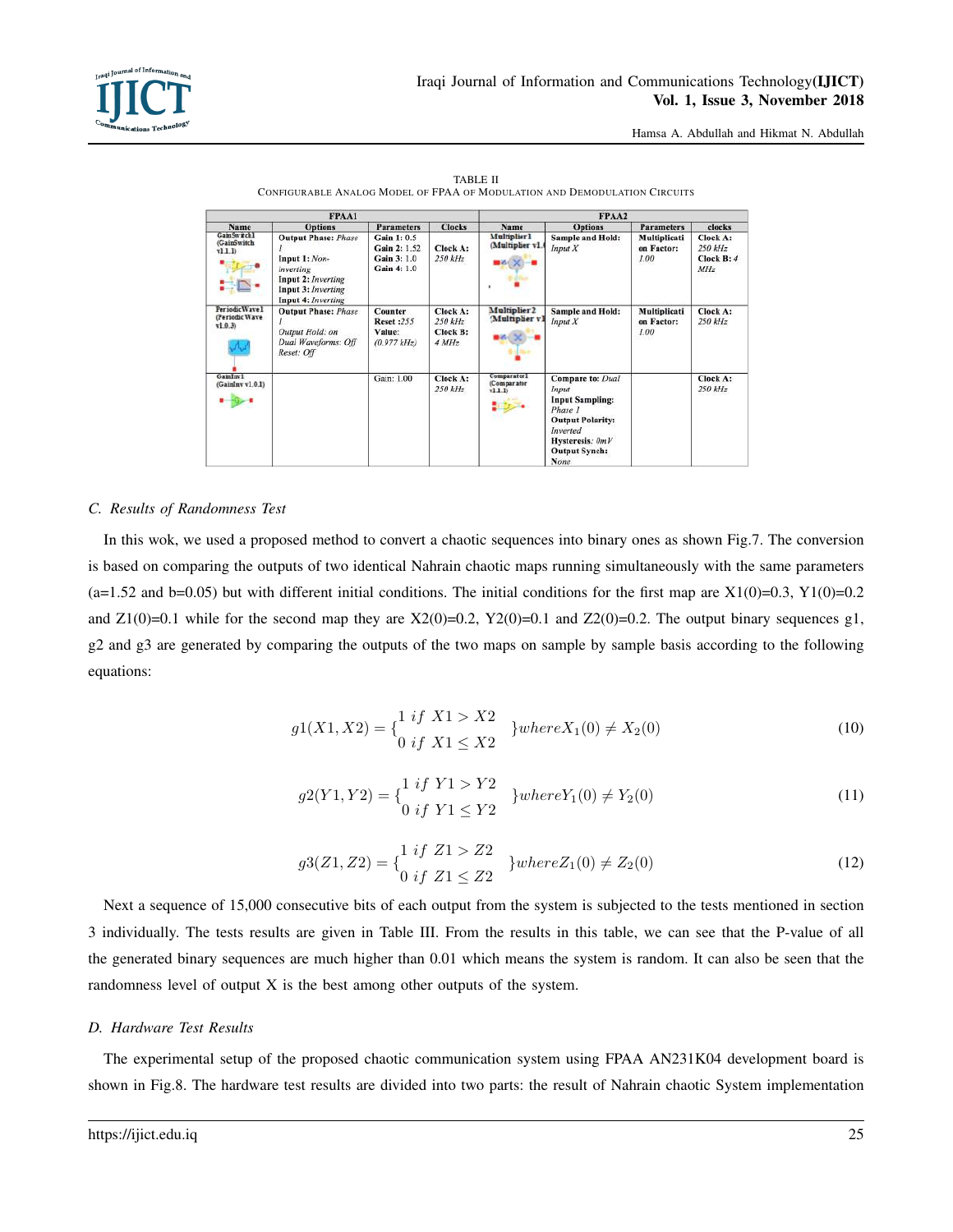| FPAA1                                                |                                                                                                                            |                                                                 | FPAA2                                    |                                                                       |                                                                                                                                                   |                                    |                                                            |
|------------------------------------------------------|----------------------------------------------------------------------------------------------------------------------------|-----------------------------------------------------------------|------------------------------------------|-----------------------------------------------------------------------|---------------------------------------------------------------------------------------------------------------------------------------------------|------------------------------------|------------------------------------------------------------|
| Name                                                 | <b>Options</b>                                                                                                             | <b>Parameters</b>                                               | <b>Clocks</b>                            | Name                                                                  | <b>Options</b>                                                                                                                                    | <b>Parameters</b>                  | clocks                                                     |
| GamSwrchl<br>(GainSwitch<br>r11.1<br><b>PARTIES</b>  | <b>Output Phase: Phase</b><br>Input 1: Non-<br>inverting<br>Input 2: Inverting<br>Input 3: Inverting<br>Input 4: Inverting | Gain 1: 0.5<br>Gain 2: 1.52<br>Gain 3: 1.0<br>Gain 4: 1.0       | Clock A:<br>250 kHz                      | <b>Multiplier1</b><br>(Multiplier v1.<br>$\bullet$ $\times$ $\bullet$ | <b>Sample and Hold:</b><br>Input X                                                                                                                | Multiplicati<br>on Factor:<br>1.00 | <b>Clock A:</b><br>$250$ $kHz$<br>Clock B: 4<br><b>MHz</b> |
| PeriodicWave1<br>(Periodic Wave<br>(1.0.3)<br>کرداکر | <b>Output Phase: Phase</b><br>Output Hold: on<br>Dual Waveforms: Off<br>Reset: Off                                         | <b>Counter</b><br><b>Reset:255</b><br>Value:<br>$(0.977$ $kHz)$ | Clock A:<br>250 kHz<br>Clock B:<br>4 MHz | Multiplier <sub>2</sub><br>(Multiplier v)                             | <b>Sample and Hold:</b><br>Input X                                                                                                                | Multiplicati<br>on Factor:<br>1.00 | Clock A:<br>250 kHz                                        |
| GamInv1<br>(GainInv v1.0.1)                          |                                                                                                                            | Gain: 1.00                                                      | Clock A:<br>250 kHz                      | Comparatorl<br>(Comparator<br>v1.1.1<br>$\mathbf{u}$                  | Compare to: Dual<br>Input<br><b>Input Sampling:</b><br>Phase 1<br><b>Output Polarity:</b><br>Inverted<br>Hysteresis: OmV<br>Output Synch:<br>None |                                    | Clock A:<br>$250$ $kHz$                                    |

TABLE II CONFIGURABLE ANALOG MODEL OF FPAA OF MODULATION AND DEMODULATION CIRCUITS

## *C. Results of Randomness Test*

In this wok, we used a proposed method to convert a chaotic sequences into binary ones as shown Fig.7. The conversion is based on comparing the outputs of two identical Nahrain chaotic maps running simultaneously with the same parameters  $(a=1.52 \text{ and } b=0.05)$  but with different initial conditions. The initial conditions for the first map are  $X1(0)=0.3$ ,  $Y1(0)=0.2$ and  $Z1(0)=0.1$  while for the second map they are  $X2(0)=0.2$ ,  $Y2(0)=0.1$  and  $Z2(0)=0.2$ . The output binary sequences g1, g2 and g3 are generated by comparing the outputs of the two maps on sample by sample basis according to the following equations:

$$
g1(X1, X2) = \begin{cases} 1 & if \ X1 > X2 \\ 0 & if \ X1 \le X2 \end{cases} \} where X_1(0) \ne X_2(0)
$$
 (10)

$$
g2(Y1, Y2) = \begin{cases} 1 & if \ Y1 > Y2 \\ 0 & if \ Y1 \le Y2 \end{cases} \} where Y_1(0) \ne Y_2(0)
$$
 (11)

$$
g3(Z1, Z2) = \begin{cases} 1 & if \ Z1 > Z2 \\ 0 & if \ Z1 \le Z2 \end{cases} \} where Z_1(0) \ne Z_2(0)
$$
 (12)

Next a sequence of 15,000 consecutive bits of each output from the system is subjected to the tests mentioned in section 3 individually. The tests results are given in Table III. From the results in this table, we can see that the P-value of all the generated binary sequences are much higher than 0.01 which means the system is random. It can also be seen that the randomness level of output X is the best among other outputs of the system.

## *D. Hardware Test Results*

The experimental setup of the proposed chaotic communication system using FPAA AN231K04 development board is shown in Fig.8. The hardware test results are divided into two parts: the result of Nahrain chaotic System implementation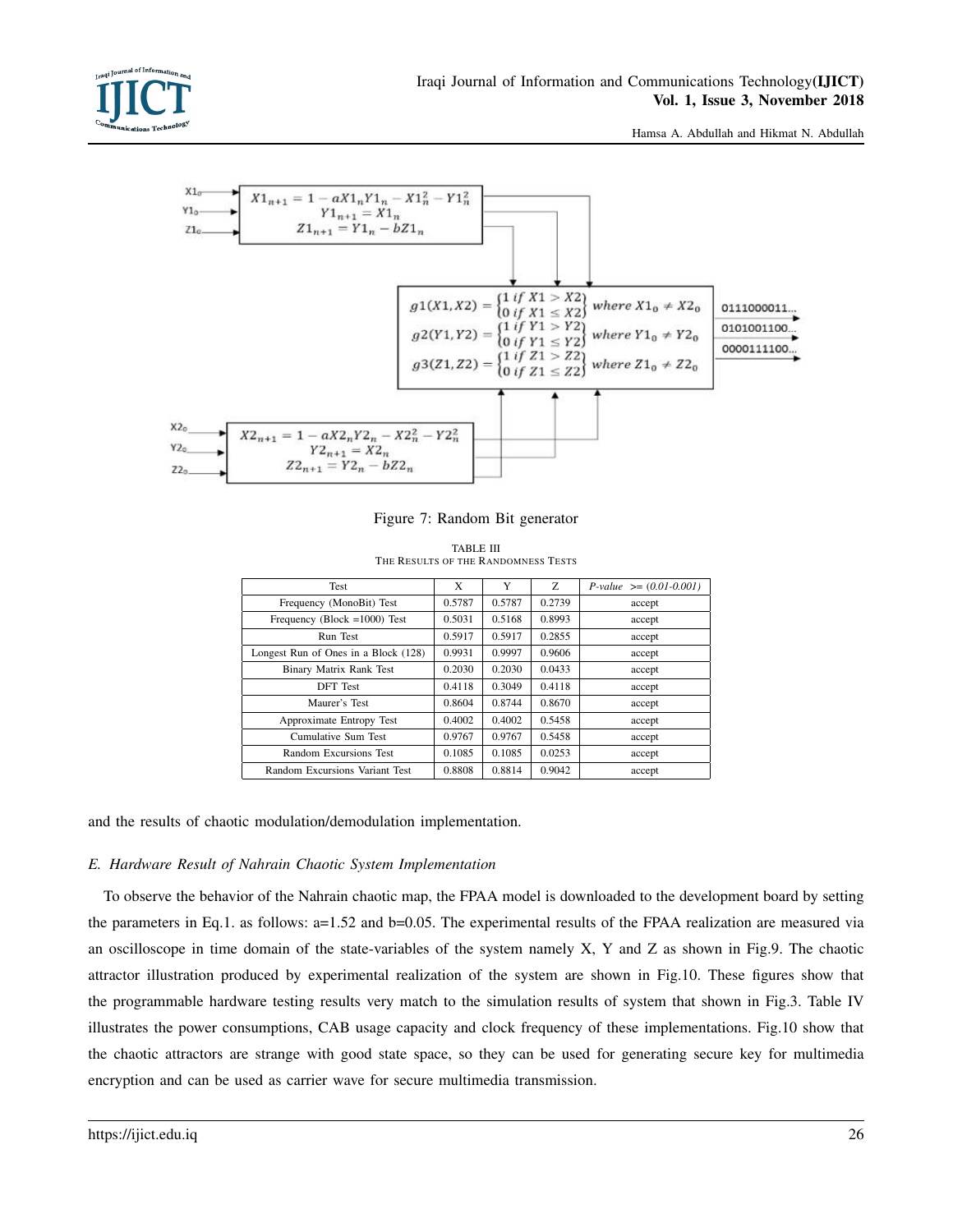



Figure 7: Random Bit generator

| Test                                 | X      | Y      | Z.     | $P-value \ge (0.01 - 0.001)$ |
|--------------------------------------|--------|--------|--------|------------------------------|
| Frequency (MonoBit) Test             | 0.5787 | 0.5787 | 0.2739 | accept                       |
| Frequency (Block = $1000$ ) Test     | 0.5031 | 0.5168 | 0.8993 | accept                       |
| Run Test                             | 0.5917 | 0.5917 | 0.2855 | accept                       |
| Longest Run of Ones in a Block (128) | 0.9931 | 0.9997 | 0.9606 | accept                       |
| Binary Matrix Rank Test              | 0.2030 | 0.2030 | 0.0433 | accept                       |
| <b>DFT</b> Test                      | 0.4118 | 0.3049 | 0.4118 | accept                       |
| Maurer's Test                        | 0.8604 | 0.8744 | 0.8670 | accept                       |
| Approximate Entropy Test             | 0.4002 | 0.4002 | 0.5458 | accept                       |
| Cumulative Sum Test                  | 0.9767 | 0.9767 | 0.5458 | accept                       |
| Random Excursions Test               | 0.1085 | 0.1085 | 0.0253 | accept                       |
| Random Excursions Variant Test       | 0.8808 | 0.8814 | 0.9042 | accept                       |

TABLE III THE RESULTS OF THE RANDOMNESS TESTS

and the results of chaotic modulation/demodulation implementation.

# *E. Hardware Result of Nahrain Chaotic System Implementation*

To observe the behavior of the Nahrain chaotic map, the FPAA model is downloaded to the development board by setting the parameters in Eq.1. as follows: a=1.52 and b=0.05. The experimental results of the FPAA realization are measured via an oscilloscope in time domain of the state-variables of the system namely X, Y and Z as shown in Fig.9. The chaotic attractor illustration produced by experimental realization of the system are shown in Fig.10. These figures show that the programmable hardware testing results very match to the simulation results of system that shown in Fig.3. Table IV illustrates the power consumptions, CAB usage capacity and clock frequency of these implementations. Fig.10 show that the chaotic attractors are strange with good state space, so they can be used for generating secure key for multimedia encryption and can be used as carrier wave for secure multimedia transmission.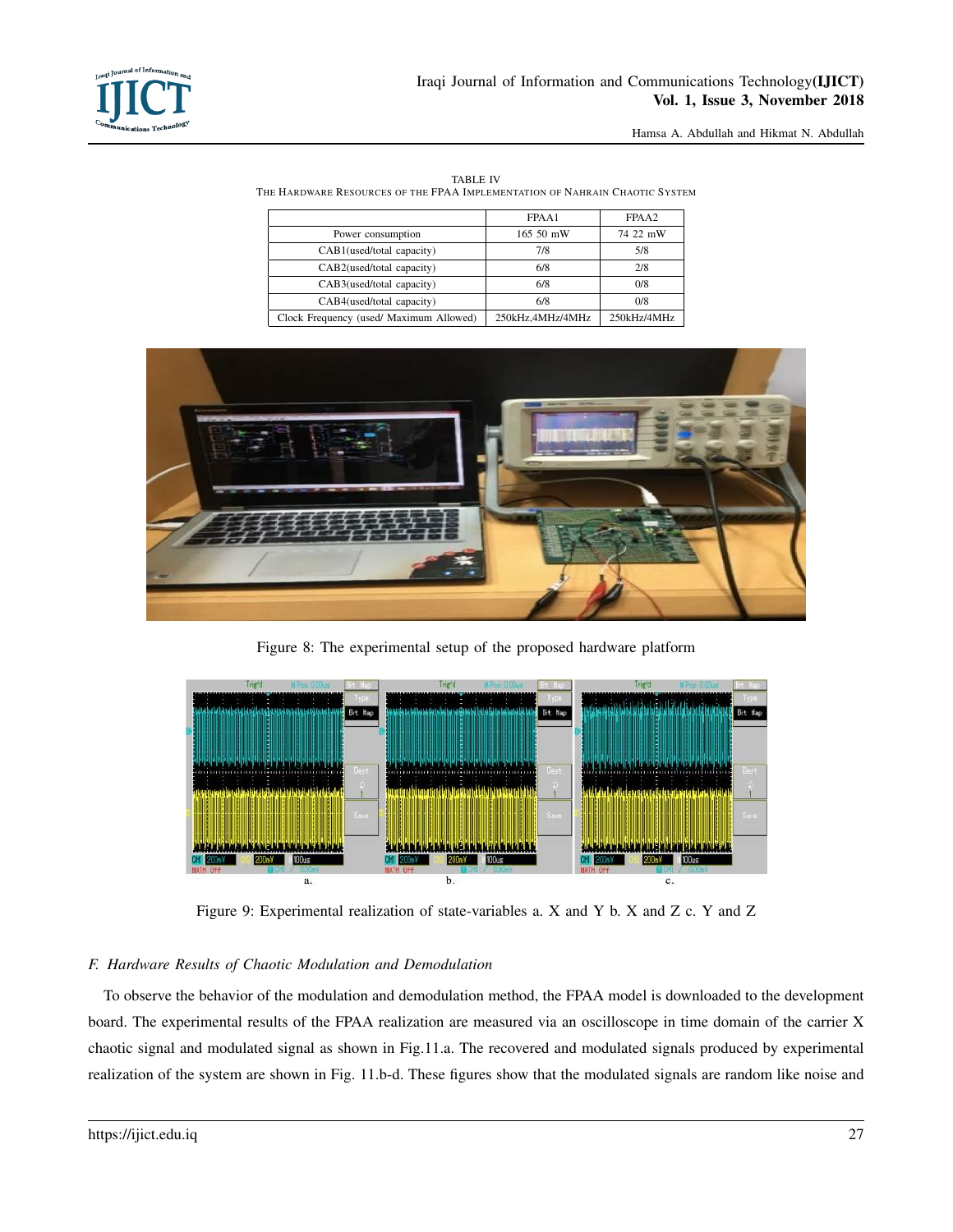

|--|

THE HARDWARE RESOURCES OF THE FPAA IMPLEMENTATION OF NAHRAIN CHAOTIC SYSTEM

|                                         | FPAA1            | FPAA2       |
|-----------------------------------------|------------------|-------------|
| Power consumption                       | 165 50 mW        | 74 22 mW    |
| CAB1(used/total capacity)               | 7/8              | 5/8         |
| CAB2(used/total capacity)               | 6/8              | 2/8         |
| CAB3(used/total capacity)               | 6/8              | 0/8         |
| CAB4(used/total capacity)               | 6/8              | 0/8         |
| Clock Frequency (used/ Maximum Allowed) | 250kHz,4MHz/4MHz | 250kHz/4MHz |



Figure 8: The experimental setup of the proposed hardware platform



Figure 9: Experimental realization of state-variables a. X and Y b. X and Z c. Y and Z

# *F. Hardware Results of Chaotic Modulation and Demodulation*

To observe the behavior of the modulation and demodulation method, the FPAA model is downloaded to the development board. The experimental results of the FPAA realization are measured via an oscilloscope in time domain of the carrier X chaotic signal and modulated signal as shown in Fig.11.a. The recovered and modulated signals produced by experimental realization of the system are shown in Fig. 11.b-d. These figures show that the modulated signals are random like noise and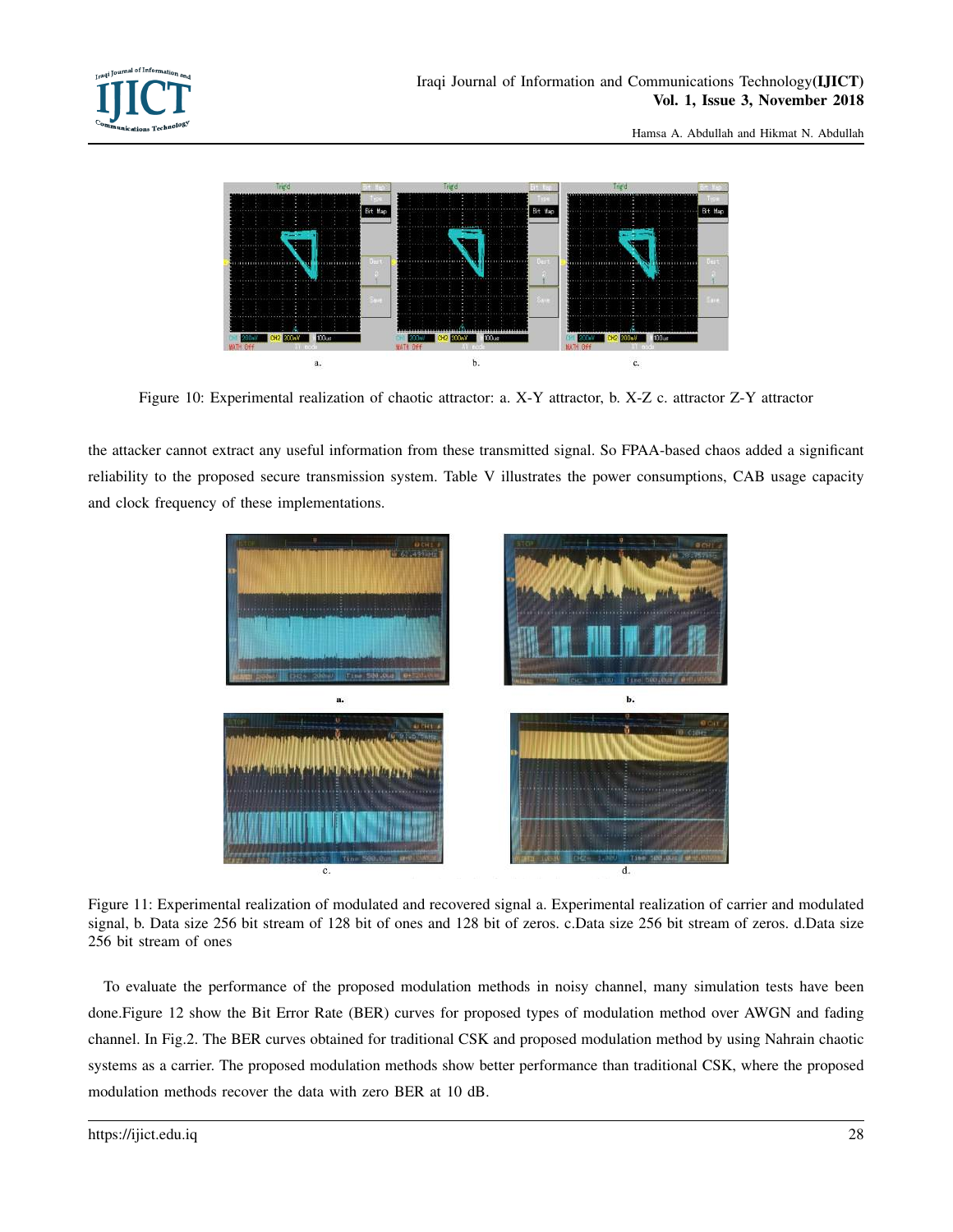

Figure 10: Experimental realization of chaotic attractor: a. X-Y attractor, b. X-Z c. attractor Z-Y attractor

the attacker cannot extract any useful information from these transmitted signal. So FPAA-based chaos added a significant reliability to the proposed secure transmission system. Table V illustrates the power consumptions, CAB usage capacity and clock frequency of these implementations.



Figure 11: Experimental realization of modulated and recovered signal a. Experimental realization of carrier and modulated signal, b. Data size 256 bit stream of 128 bit of ones and 128 bit of zeros. c.Data size 256 bit stream of zeros. d.Data size 256 bit stream of ones

To evaluate the performance of the proposed modulation methods in noisy channel, many simulation tests have been done.Figure 12 show the Bit Error Rate (BER) curves for proposed types of modulation method over AWGN and fading channel. In Fig.2. The BER curves obtained for traditional CSK and proposed modulation method by using Nahrain chaotic systems as a carrier. The proposed modulation methods show better performance than traditional CSK, where the proposed modulation methods recover the data with zero BER at 10 dB.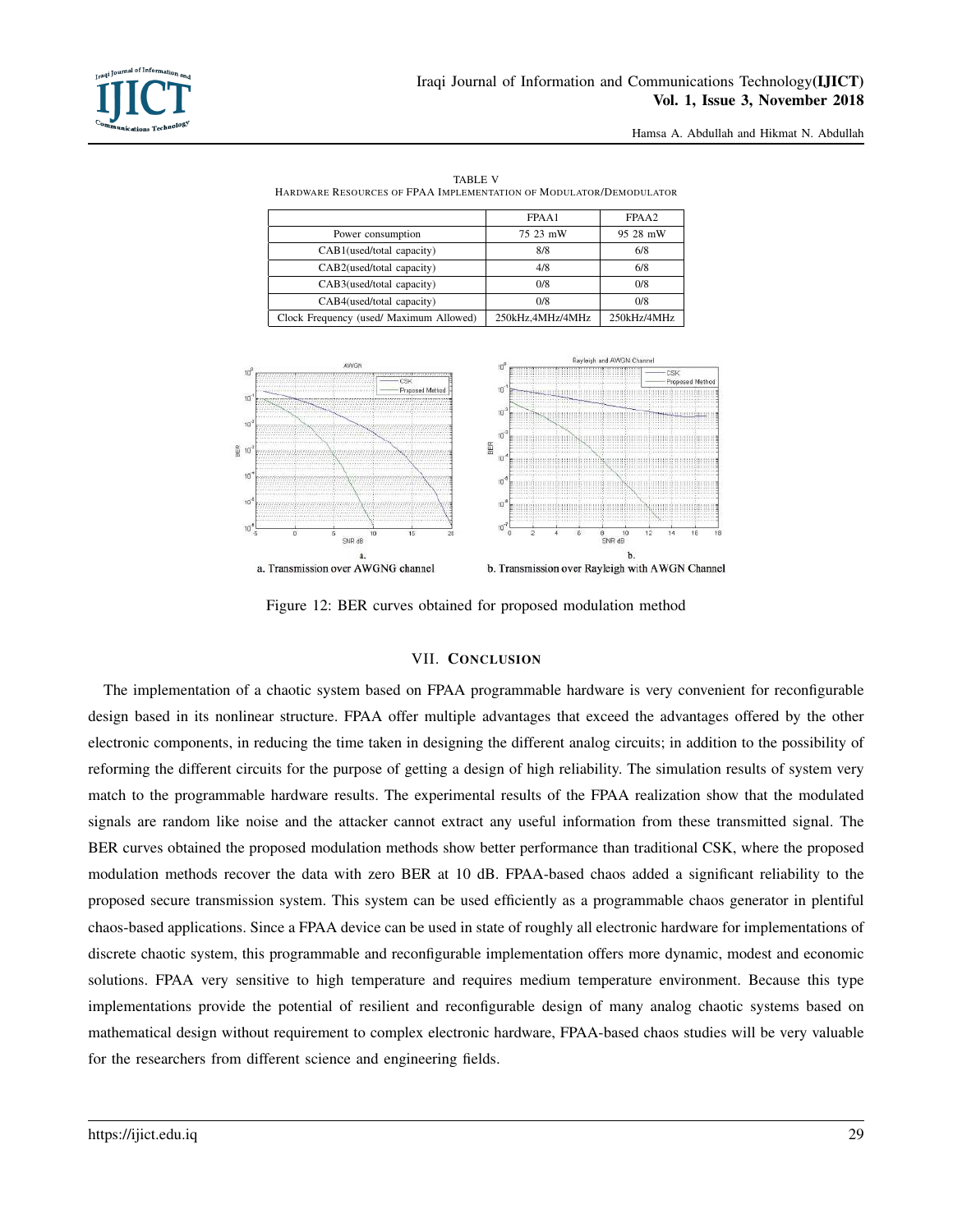

| <b>TABLE V</b>                                                     |
|--------------------------------------------------------------------|
| HARDWARE RESOURCES OF FPAA IMPLEMENTATION OF MODULATOR/DEMODULATOR |

|                                         | FPAA1            | FPAA2       |
|-----------------------------------------|------------------|-------------|
| Power consumption                       | 75 23 mW         | 95 28 mW    |
| CAB1(used/total capacity)               | 8/8              | 6/8         |
| CAB2(used/total capacity)               | 4/8              | 6/8         |
| CAB3(used/total capacity)               | 0/8              | 0/8         |
| CAB4(used/total capacity)               | 0/8              | 0/8         |
| Clock Frequency (used/ Maximum Allowed) | 250kHz.4MHz/4MHz | 250kHz/4MHz |



Figure 12: BER curves obtained for proposed modulation method

# VII. CONCLUSION

The implementation of a chaotic system based on FPAA programmable hardware is very convenient for reconfigurable design based in its nonlinear structure. FPAA offer multiple advantages that exceed the advantages offered by the other electronic components, in reducing the time taken in designing the different analog circuits; in addition to the possibility of reforming the different circuits for the purpose of getting a design of high reliability. The simulation results of system very match to the programmable hardware results. The experimental results of the FPAA realization show that the modulated signals are random like noise and the attacker cannot extract any useful information from these transmitted signal. The BER curves obtained the proposed modulation methods show better performance than traditional CSK, where the proposed modulation methods recover the data with zero BER at 10 dB. FPAA-based chaos added a significant reliability to the proposed secure transmission system. This system can be used efficiently as a programmable chaos generator in plentiful chaos-based applications. Since a FPAA device can be used in state of roughly all electronic hardware for implementations of discrete chaotic system, this programmable and reconfigurable implementation offers more dynamic, modest and economic solutions. FPAA very sensitive to high temperature and requires medium temperature environment. Because this type implementations provide the potential of resilient and reconfigurable design of many analog chaotic systems based on mathematical design without requirement to complex electronic hardware, FPAA-based chaos studies will be very valuable for the researchers from different science and engineering fields.